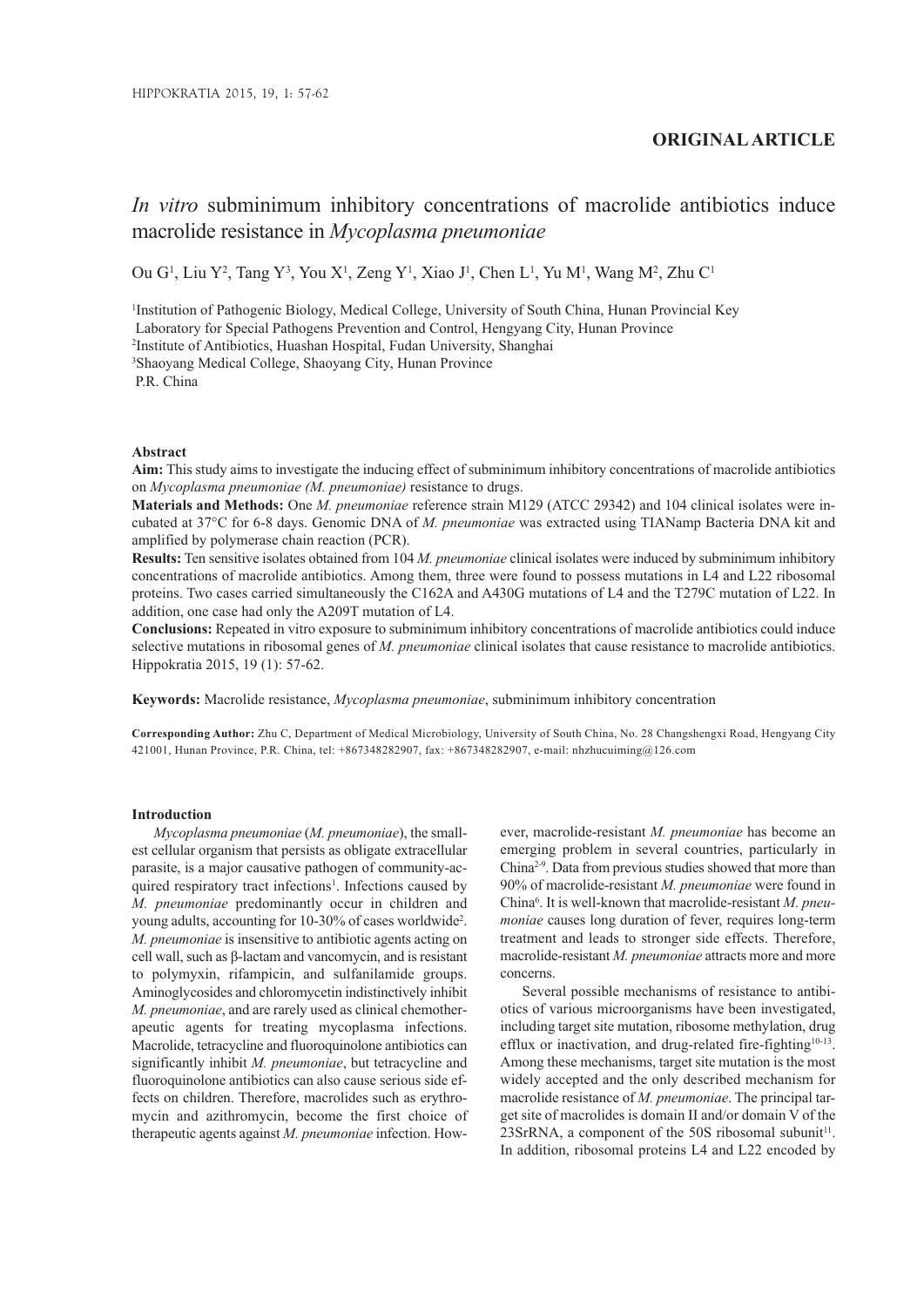## **ORIGINAL ARTICLE**

# *In vitro* subminimum inhibitory concentrations of macrolide antibiotics induce macrolide resistance in *Mycoplasma pneumoniae*

Ou G<sup>1</sup>, Liu Y<sup>2</sup>, Tang Y<sup>3</sup>, You X<sup>1</sup>, Zeng Y<sup>1</sup>, Xiao J<sup>1</sup>, Chen L<sup>1</sup>, Yu M<sup>1</sup>, Wang M<sup>2</sup>, Zhu C<sup>1</sup>

1 Institution of Pathogenic Biology, Medical College, University of South China, Hunan Provincial Key

Laboratory for Special Pathogens Prevention and Control, Hengyang City, Hunan Province

2 Institute of Antibiotics, Huashan Hospital, Fudan University, Shanghai

3 Shaoyang Medical College, Shaoyang City, Hunan Province

P.R. China

## **Abstract**

**Aim:** This study aims to investigate the inducing effect of subminimum inhibitory concentrations of macrolide antibiotics on *Mycoplasma pneumoniae (M. pneumoniae)* resistance to drugs.

**Materials and Methods:** One *M. pneumoniae* reference strain M129 (ATCC 29342) and 104 clinical isolates were incubated at 37°C for 6-8 days. Genomic DNA of *M. pneumoniae* was extracted using TIANamp Bacteria DNA kit and amplified by polymerase chain reaction (PCR).

**Results:** Ten sensitive isolates obtained from 104 *M. pneumoniae* clinical isolates were induced by subminimum inhibitory concentrations of macrolide antibiotics. Among them, three were found to possess mutations in L4 and L22 ribosomal proteins. Two cases carried simultaneously the C162A and A430G mutations of L4 and the T279C mutation of L22. In addition, one case had only the A209T mutation of L4.

**Conclusions:** Repeated in vitro exposure to subminimum inhibitory concentrations of macrolide antibiotics could induce selective mutations in ribosomal genes of *M. pneumoniae* clinical isolates that cause resistance to macrolide antibiotics. Hippokratia 2015, 19 (1): 57-62.

**Keywords:** Macrolide resistance, *Mycoplasma pneumoniae*, subminimum inhibitory concentration

**Corresponding Author:** Zhu C, Department of Medical Microbiology, University of South China, No. 28 Changshengxi Road, Hengyang City 421001, Hunan Province, P.R. China, tel: +867348282907, fax: +867348282907, e-mail: nhzhucuiming@126.com

## **Introduction**

*Mycoplasma pneumoniae* (*M. pneumoniae*), the smallest cellular organism that persists as obligate extracellular parasite, is a major causative pathogen of community-acquired respiratory tract infections<sup>1</sup>. Infections caused by *M. pneumoniae* predominantly occur in children and young adults, accounting for 10-30% of cases worldwide2 . *M. pneumoniae* is insensitive to antibiotic agents acting on cell wall, such as β-lactam and vancomycin, and is resistant to polymyxin, rifampicin, and sulfanilamide groups. Aminoglycosides and chloromycetin indistinctively inhibit *M. pneumoniae*, and are rarely used as clinical chemotherapeutic agents for treating mycoplasma infections. Macrolide, tetracycline and fluoroquinolone antibiotics can significantly inhibit *M. pneumoniae*, but tetracycline and fluoroquinolone antibiotics can also cause serious side effects on children. Therefore, macrolides such as erythromycin and azithromycin, become the first choice of therapeutic agents against *M. pneumoniae* infection. However, macrolide-resistant *M. pneumoniae* has become an emerging problem in several countries, particularly in China2-9. Data from previous studies showed that more than 90% of macrolide-resistant *M. pneumoniae* were found in China6 . It is well-known that macrolide-resistant *M. pneumoniae* causes long duration of fever, requires long-term treatment and leads to stronger side effects. Therefore, macrolide-resistant *M. pneumoniae* attracts more and more concerns.

Several possible mechanisms of resistance to antibiotics of various microorganisms have been investigated, including target site mutation, ribosome methylation, drug efflux or inactivation, and drug-related fire-fighting<sup>10-13</sup>. Among these mechanisms, target site mutation is the most widely accepted and the only described mechanism for macrolide resistance of *M. pneumoniae*. The principal target site of macrolides is domain II and/or domain V of the  $23SrRNA$ , a component of the 50S ribosomal subunit<sup>11</sup>. In addition, ribosomal proteins L4 and L22 encoded by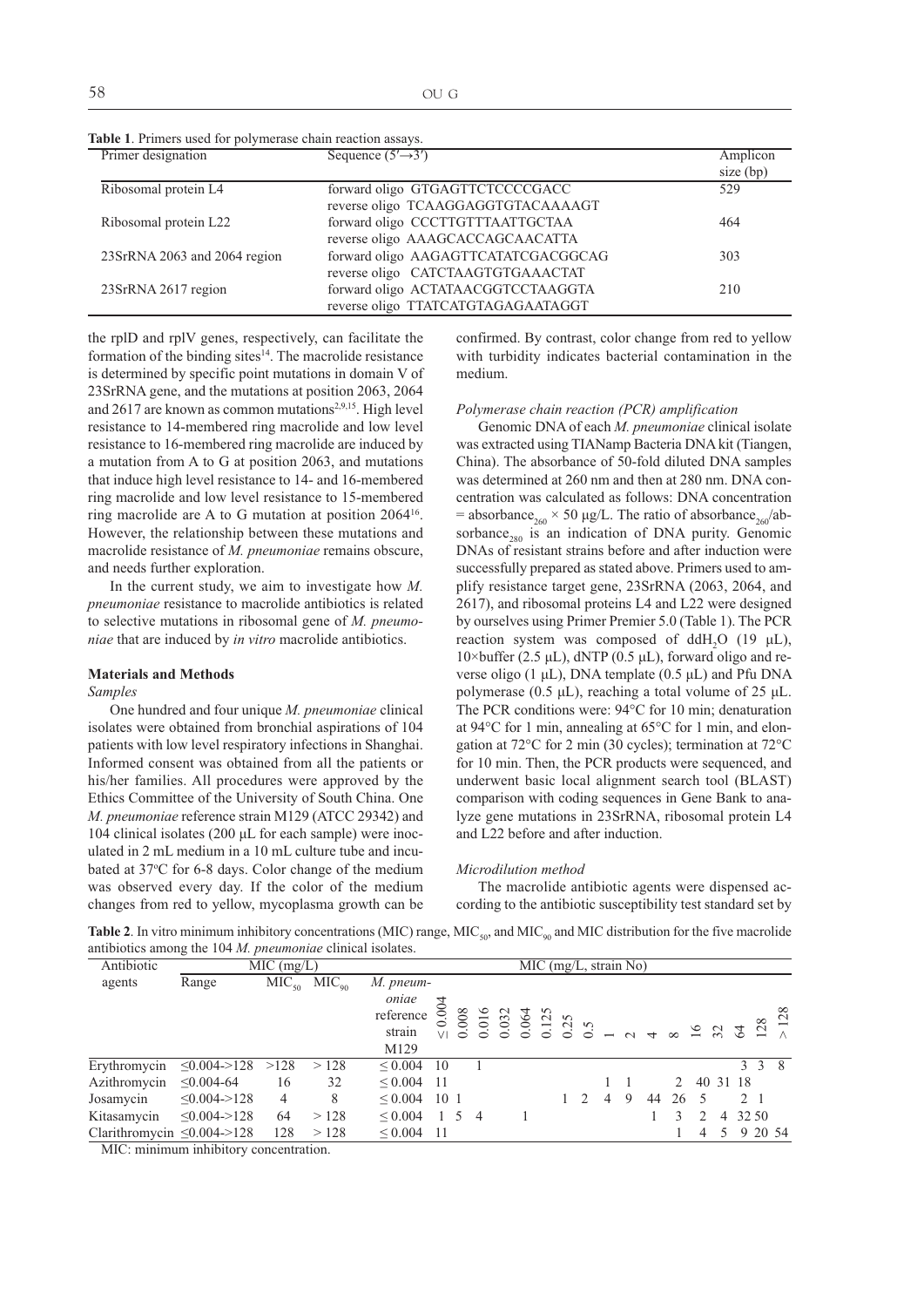| Primer designation           | Sequence $(5' \rightarrow 3')$      | Amplicon    |
|------------------------------|-------------------------------------|-------------|
|                              |                                     | size $(bp)$ |
| Ribosomal protein L4         | forward oligo GTGAGTTCTCCCCGACC     | 529         |
|                              | reverse oligo TCAAGGAGGTGTACAAAAGT  |             |
| Ribosomal protein L22        | forward oligo CCCTTGTTTAATTGCTAA    | 464         |
|                              | reverse oligo AAAGCACCAGCAACATTA    |             |
| 23SrRNA 2063 and 2064 region | forward oligo AAGAGTTCATATCGACGGCAG | 303         |
|                              | reverse oligo CATCTAAGTGTGAAACTAT   |             |
| 23SrRNA 2617 region          | forward oligo ACTATAACGGTCCTAAGGTA  | 210         |
|                              | reverse oligo TTATCATGTAGAGAATAGGT  |             |

**Table 1**. Primers used for polymerase chain reaction assays.

the rplD and rplV genes, respectively, can facilitate the formation of the binding sites<sup>14</sup>. The macrolide resistance is determined by specific point mutations in domain V of 23SrRNA gene, and the mutations at position 2063, 2064 and  $2617$  are known as common mutations<sup>2,9,15</sup>. High level resistance to 14-membered ring macrolide and low level resistance to 16-membered ring macrolide are induced by a mutation from A to G at position 2063, and mutations that induce high level resistance to 14- and 16-membered ring macrolide and low level resistance to 15-membered ring macrolide are A to G mutation at position 206416. However, the relationship between these mutations and macrolide resistance of *M. pneumoniae* remains obscure, and needs further exploration.

In the current study, we aim to investigate how *M. pneumoniae* resistance to macrolide antibiotics is related to selective mutations in ribosomal gene of *M. pneumoniae* that are induced by *in vitro* macrolide antibiotics.

## **Materials and Methods**

#### *Samples*

One hundred and four unique *M. pneumoniae* clinical isolates were obtained from bronchial aspirations of 104 patients with low level respiratory infections in Shanghai. Informed consent was obtained from all the patients or his/her families. All procedures were approved by the Ethics Committee of the University of South China. One *M. pneumoniae* reference strain M129 (ATCC 29342) and 104 clinical isolates (200 μL for each sample) were inoculated in 2 mL medium in a 10 mL culture tube and incubated at 37°C for 6-8 days. Color change of the medium was observed every day. If the color of the medium changes from red to yellow, mycoplasma growth can be confirmed. By contrast, color change from red to yellow with turbidity indicates bacterial contamination in the medium.

### *Polymerase chain reaction (PCR) amplification*

Genomic DNA of each *M. pneumoniae* clinical isolate was extracted using TIANamp Bacteria DNA kit (Tiangen, China). The absorbance of 50-fold diluted DNA samples was determined at 260 nm and then at 280 nm. DNA concentration was calculated as follows: DNA concentration = absorbance<sub>260</sub> × 50 µg/L. The ratio of absorbance<sub>260</sub>/absorbance<sub>280</sub> is an indication of DNA purity. Genomic DNAs of resistant strains before and after induction were successfully prepared as stated above. Primers used to amplify resistance target gene, 23SrRNA (2063, 2064, and 2617), and ribosomal proteins L4 and L22 were designed by ourselves using Primer Premier 5.0 (Table 1). The PCR reaction system was composed of  $ddH_2O$  (19  $\mu$ L),  $10\times$ buffer (2.5 µL), dNTP (0.5 µL), forward oligo and reverse oligo (1 μL), DNA template (0.5 μL) and Pfu DNA polymerase (0.5 μL), reaching a total volume of 25 μL. The PCR conditions were: 94°C for 10 min; denaturation at 94°C for 1 min, annealing at 65°C for 1 min, and elongation at 72°C for 2 min (30 cycles); termination at 72°C for 10 min. Then, the PCR products were sequenced, and underwent basic local alignment search tool (BLAST) comparison with coding sequences in Gene Bank to analyze gene mutations in 23SrRNA, ribosomal protein L4 and L22 before and after induction.

#### *Microdilution method*

The macrolide antibiotic agents were dispensed according to the antibiotic susceptibility test standard set by

**Table 2**. In vitro minimum inhibitory concentrations (MIC) range, MIC<sub>so</sub>, and MIC<sub>on</sub> and MIC distribution for the five macrolide antibiotics among the 104 *M. pneumoniae* clinical isolates.

| Antibiotic                        |                    | $MIC$ (mg/L)      |                   |              |           |       |                |                                                    |  |  | MIC (mg/L, strain No) |   |    |          |               |                |       |                |         |
|-----------------------------------|--------------------|-------------------|-------------------|--------------|-----------|-------|----------------|----------------------------------------------------|--|--|-----------------------|---|----|----------|---------------|----------------|-------|----------------|---------|
| agents                            | Range              | MIC <sub>50</sub> | MIC <sub>on</sub> | M. pneum-    |           |       |                |                                                    |  |  |                       |   |    |          |               |                |       |                |         |
|                                   |                    |                   |                   | oniae        | 004       |       |                |                                                    |  |  |                       |   |    |          |               |                |       |                |         |
|                                   |                    |                   |                   | reference    |           | 0.008 |                | $0.016$<br>0.015<br>0.032<br>0.064<br>0.125<br>0.3 |  |  |                       |   |    |          |               |                |       | $\infty$       | 128     |
|                                   |                    |                   |                   | strain       | $\sqrt{}$ |       |                |                                                    |  |  |                       |   |    | $\infty$ |               | 32             |       | $\overline{c}$ |         |
|                                   |                    |                   |                   | M129         |           |       |                |                                                    |  |  |                       |   |    |          |               |                |       |                |         |
| Erythromycin                      | $\leq 0.004 > 128$ | >128              | >128              | ${}_{0.004}$ | 10        |       |                |                                                    |  |  |                       |   |    |          |               |                |       | $3 \t3 \t8$    |         |
| Azithromycin                      | $\leq 0.004 - 64$  | 16                | 32                | $\leq 0.004$ | -11       |       |                |                                                    |  |  |                       |   |    |          |               | 40 31 18       |       |                |         |
| Josamycin                         | $\leq 0.004 > 128$ | $\overline{4}$    | 8                 | $\leq 0.004$ | 10 1      |       |                |                                                    |  |  | 4                     | 9 | 44 | 26       |               |                | 2 1   |                |         |
| Kitasamycin                       | $\leq 0.004 > 128$ | 64                | >128              | ${}_{0.004}$ | $1\,5$    |       | $\overline{4}$ |                                                    |  |  |                       |   |    | 3        | $\mathcal{D}$ | $\overline{4}$ | 32.50 |                |         |
| Clarithromycin $\leq 0.004 > 128$ |                    | 128               | >128              | ${}_{0.004}$ | -11       |       |                |                                                    |  |  |                       |   |    |          | 4             | 5.             |       |                | 9 20 54 |

MIC: minimum inhibitory concentration.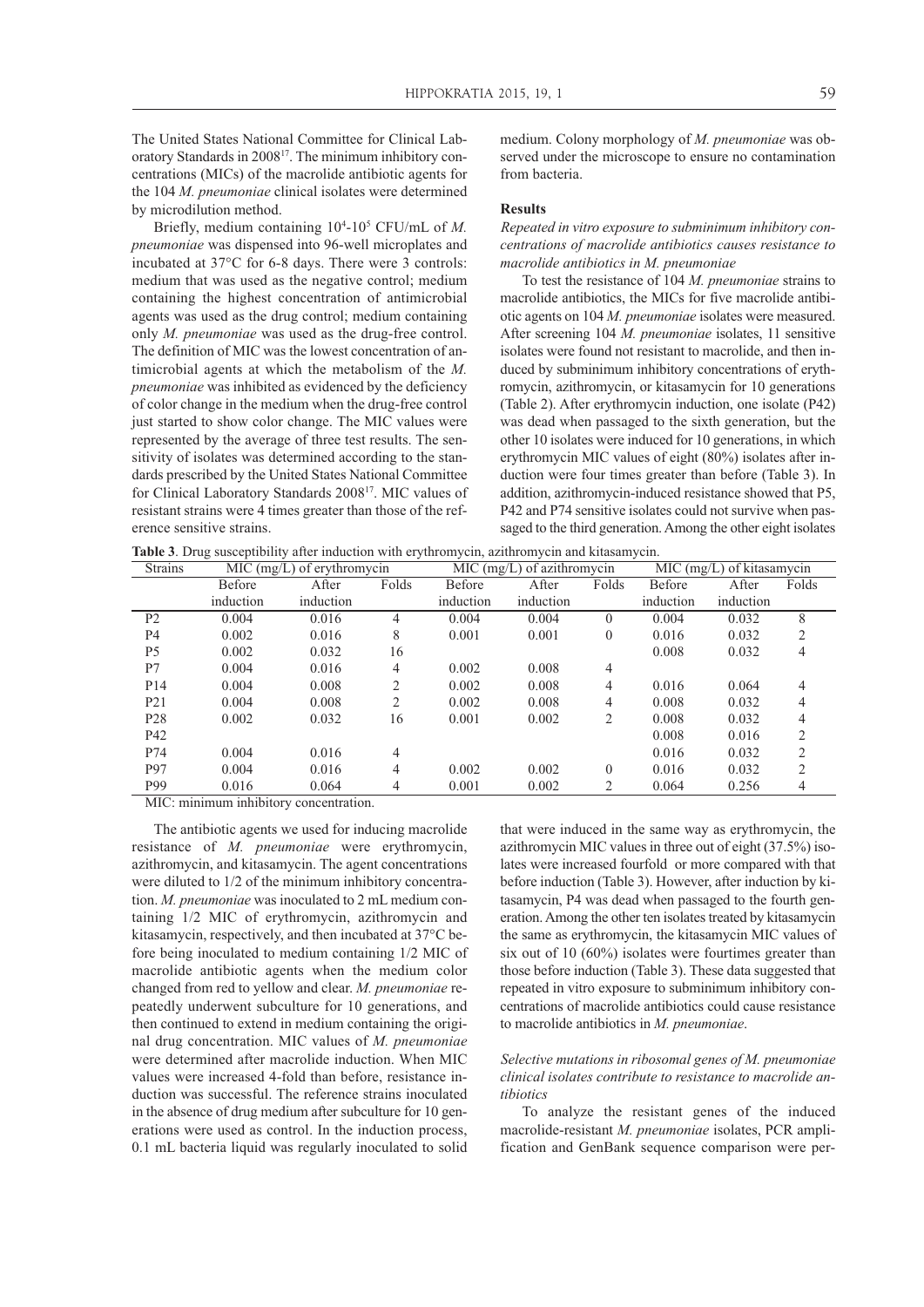The United States National Committee for Clinical Laboratory Standards in 200817. The minimum inhibitory concentrations (MICs) of the macrolide antibiotic agents for the 104 *M. pneumoniae* clinical isolates were determined by microdilution method.

Briefly, medium containing  $10^4$ -10<sup>5</sup> CFU/mL of *M*. *pneumoniae* was dispensed into 96-well microplates and incubated at 37°C for 6-8 days. There were 3 controls: medium that was used as the negative control; medium containing the highest concentration of antimicrobial agents was used as the drug control; medium containing only *M. pneumoniae* was used as the drug-free control. The definition of MIC was the lowest concentration of antimicrobial agents at which the metabolism of the *M. pneumoniae* was inhibited as evidenced by the deficiency of color change in the medium when the drug-free control just started to show color change. The MIC values were represented by the average of three test results. The sensitivity of isolates was determined according to the standards prescribed by the United States National Committee for Clinical Laboratory Standards 200817. MIC values of resistant strains were 4 times greater than those of the reference sensitive strains.

medium. Colony morphology of *M. pneumoniae* was observed under the microscope to ensure no contamination from bacteria.

#### **Results**

*Repeated in vitro exposure to subminimum inhibitory concentrations of macrolide antibiotics causes resistance to macrolide antibiotics in M. pneumoniae*

To test the resistance of 104 *M. pneumoniae* strains to macrolide antibiotics, the MICs for five macrolide antibiotic agents on 104 *M. pneumoniae* isolates were measured. After screening 104 *M. pneumoniae* isolates, 11 sensitive isolates were found not resistant to macrolide, and then induced by subminimum inhibitory concentrations of erythromycin, azithromycin, or kitasamycin for 10 generations (Table 2). After erythromycin induction, one isolate (P42) was dead when passaged to the sixth generation, but the other 10 isolates were induced for 10 generations, in which erythromycin MIC values of eight (80%) isolates after induction were four times greater than before (Table 3). In addition, azithromycin-induced resistance showed that P5, P42 and P74 sensitive isolates could not survive when passaged to the third generation. Among the other eight isolates

**Table 3**. Drug susceptibility after induction with erythromycin, azithromycin and kitasamycin.

| <b>Strains</b>  |               | $MIC$ (mg/L) of erythromycin |                |               | $MIC$ (mg/L) of azithromycin |          |               | $MIC$ (mg/L) of kitasamycin |                |
|-----------------|---------------|------------------------------|----------------|---------------|------------------------------|----------|---------------|-----------------------------|----------------|
|                 | <b>Before</b> | After                        | Folds          | <b>Before</b> | After                        | Folds    | <b>Before</b> | After                       | Folds          |
|                 | induction     | induction                    |                | induction     | induction                    |          | induction     | induction                   |                |
| P <sub>2</sub>  | 0.004         | 0.016                        | 4              | 0.004         | 0.004                        | $\Omega$ | 0.004         | 0.032                       | 8              |
| P <sub>4</sub>  | 0.002         | 0.016                        | 8              | 0.001         | 0.001                        | $\theta$ | 0.016         | 0.032                       | 2              |
| P <sub>5</sub>  | 0.002         | 0.032                        | 16             |               |                              |          | 0.008         | 0.032                       | 4              |
| P7              | 0.004         | 0.016                        | 4              | 0.002         | 0.008                        | 4        |               |                             |                |
| P <sub>14</sub> | 0.004         | 0.008                        | $\overline{c}$ | 0.002         | 0.008                        | 4        | 0.016         | 0.064                       | 4              |
| P <sub>21</sub> | 0.004         | 0.008                        | $\overline{c}$ | 0.002         | 0.008                        | 4        | 0.008         | 0.032                       | 4              |
| P <sub>28</sub> | 0.002         | 0.032                        | 16             | 0.001         | 0.002                        | 2        | 0.008         | 0.032                       | 4              |
| P42             |               |                              |                |               |                              |          | 0.008         | 0.016                       | $\mathfrak{D}$ |
| P74             | 0.004         | 0.016                        | 4              |               |                              |          | 0.016         | 0.032                       |                |
| P97             | 0.004         | 0.016                        | 4              | 0.002         | 0.002                        | $\theta$ | 0.016         | 0.032                       | 2              |
| P99             | 0.016         | 0.064                        | 4              | 0.001         | 0.002                        | 2        | 0.064         | 0.256                       | 4              |

MIC: minimum inhibitory concentration.

The antibiotic agents we used for inducing macrolide resistance of *M. pneumoniae* were erythromycin, azithromycin, and kitasamycin. The agent concentrations were diluted to 1/2 of the minimum inhibitory concentration. *M. pneumoniae* was inoculated to 2 mL medium containing 1/2 MIC of erythromycin, azithromycin and kitasamycin, respectively, and then incubated at 37°C before being inoculated to medium containing 1/2 MIC of macrolide antibiotic agents when the medium color changed from red to yellow and clear. *M. pneumoniae* repeatedly underwent subculture for 10 generations, and then continued to extend in medium containing the original drug concentration. MIC values of *M. pneumoniae* were determined after macrolide induction. When MIC values were increased 4-fold than before, resistance induction was successful. The reference strains inoculated in the absence of drug medium after subculture for 10 generations were used as control. In the induction process, 0.1 mL bacteria liquid was regularly inoculated to solid

that were induced in the same way as erythromycin, the azithromycin MIC values in three out of eight (37.5%) isolates were increased fourfold or more compared with that before induction (Table 3). However, after induction by kitasamycin, P4 was dead when passaged to the fourth generation. Among the other ten isolates treated by kitasamycin the same as erythromycin, the kitasamycin MIC values of six out of 10 (60%) isolates were fourtimes greater than those before induction (Table 3). These data suggested that repeated in vitro exposure to subminimum inhibitory concentrations of macrolide antibiotics could cause resistance to macrolide antibiotics in *M. pneumoniae*.

## *Selective mutations in ribosomal genes of M. pneumoniae clinical isolates contribute to resistance to macrolide antibiotics*

To analyze the resistant genes of the induced macrolide-resistant *M. pneumoniae* isolates, PCR amplification and GenBank sequence comparison were per-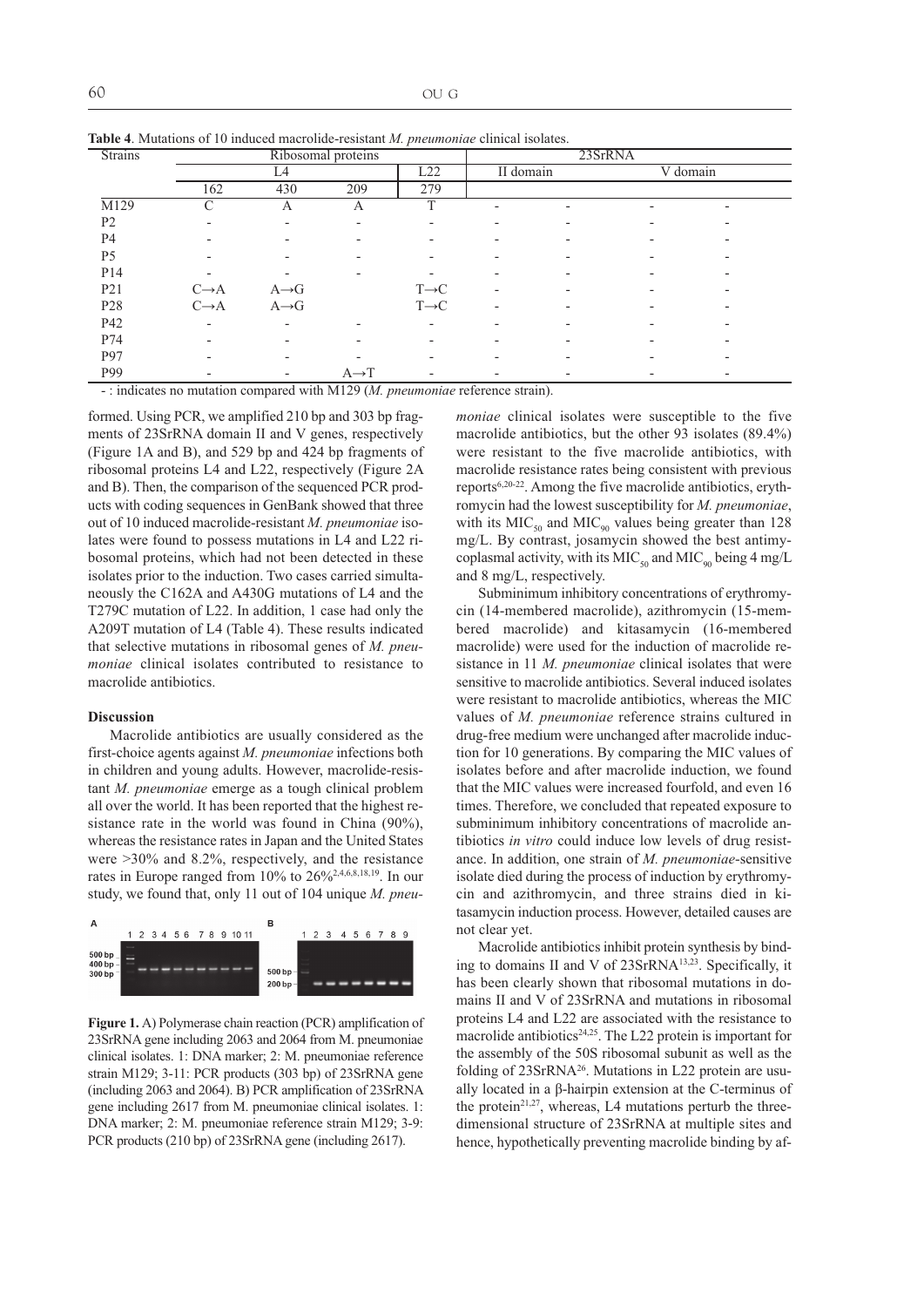| <b>Strains</b>   |                          |                          | Ribosomal proteins       |                          |                          |  |          |  |  |
|------------------|--------------------------|--------------------------|--------------------------|--------------------------|--------------------------|--|----------|--|--|
|                  | L4                       |                          |                          | L22                      | II domain                |  | V domain |  |  |
|                  | 162                      | 430                      | 209                      | 279                      |                          |  |          |  |  |
| M129             | $\mathcal{C}$            | А                        | A                        | T                        |                          |  |          |  |  |
| P <sub>2</sub>   | $\overline{\phantom{0}}$ | $\overline{\phantom{0}}$ | $\overline{\phantom{a}}$ | $\overline{\phantom{a}}$ | $\overline{\phantom{0}}$ |  |          |  |  |
| P <sub>4</sub>   |                          |                          |                          |                          |                          |  |          |  |  |
| P <sub>5</sub>   |                          |                          |                          |                          |                          |  |          |  |  |
| P <sub>14</sub>  | -                        |                          | -                        |                          | $\overline{\phantom{0}}$ |  |          |  |  |
| P <sub>2</sub> 1 | $C \rightarrow A$        | $A \rightarrow G$        |                          | $T\rightarrow C$         |                          |  |          |  |  |
| P <sub>28</sub>  | $C \rightarrow A$        | $A \rightarrow G$        |                          | $T\rightarrow C$         |                          |  |          |  |  |
| P42              | $\overline{\phantom{0}}$ |                          |                          | $\overline{\phantom{0}}$ | $\overline{\phantom{0}}$ |  |          |  |  |
| P74              |                          |                          |                          |                          |                          |  |          |  |  |
| P97              |                          |                          |                          |                          |                          |  |          |  |  |
| P99              | $\overline{\phantom{a}}$ |                          | $A \rightarrow T$        |                          |                          |  |          |  |  |

**Table 4**. Mutations of 10 induced macrolide-resistant *M. pneumoniae* clinical isolates.

- : indicates no mutation compared with M129 (*M. pneumoniae* reference strain).

formed. Using PCR, we amplified 210 bp and 303 bp fragments of 23SrRNA domain II and V genes, respectively (Figure 1A and B), and 529 bp and 424 bp fragments of ribosomal proteins L4 and L22, respectively (Figure 2A and B). Then, the comparison of the sequenced PCR products with coding sequences in GenBank showed that three out of 10 induced macrolide-resistant *M. pneumoniae* isolates were found to possess mutations in L4 and L22 ribosomal proteins, which had not been detected in these isolates prior to the induction. Two cases carried simultaneously the C162A and A430G mutations of L4 and the T279C mutation of L22. In addition, 1 case had only the A209T mutation of L4 (Table 4). These results indicated that selective mutations in ribosomal genes of *M. pneumoniae* clinical isolates contributed to resistance to macrolide antibiotics.

#### **Discussion**

Macrolide antibiotics are usually considered as the first-choice agents against *M. pneumoniae* infections both in children and young adults. However, macrolide-resistant *M. pneumoniae* emerge as a tough clinical problem all over the world. It has been reported that the highest resistance rate in the world was found in China (90%), whereas the resistance rates in Japan and the United States were  $>30\%$  and 8.2%, respectively, and the resistance rates in Europe ranged from 10% to 26%<sup>2,4,6,8,18,19</sup>. In our study, we found that, only 11 out of 104 unique *M. pneu-*



**Figure 1.** A) Polymerase chain reaction (PCR) amplification of 23SrRNA gene including 2063 and 2064 from M. pneumoniae clinical isolates. 1: DNA marker; 2: M. pneumoniae reference strain M129; 3-11: PCR products (303 bp) of 23SrRNA gene (including 2063 and 2064). B) PCR amplification of 23SrRNA gene including 2617 from M. pneumoniae clinical isolates. 1: DNA marker; 2: M. pneumoniae reference strain M129; 3-9: PCR products (210 bp) of 23SrRNA gene (including 2617).

*moniae* clinical isolates were susceptible to the five macrolide antibiotics, but the other 93 isolates (89.4%) were resistant to the five macrolide antibiotics, with macrolide resistance rates being consistent with previous reports6,20-22. Among the five macrolide antibiotics, erythromycin had the lowest susceptibility for *M. pneumoniae*, with its  $MIC<sub>50</sub>$  and  $MIC<sub>90</sub>$  values being greater than 128 mg/L. By contrast, josamycin showed the best antimycoplasmal activity, with its MIC<sub>50</sub> and MIC<sub>90</sub> being 4 mg/L and 8 mg/L, respectively.

Subminimum inhibitory concentrations of erythromycin (14-membered macrolide), azithromycin (15-membered macrolide) and kitasamycin (16-membered macrolide) were used for the induction of macrolide resistance in 11 *M. pneumoniae* clinical isolates that were sensitive to macrolide antibiotics. Several induced isolates were resistant to macrolide antibiotics, whereas the MIC values of *M. pneumoniae* reference strains cultured in drug-free medium were unchanged after macrolide induction for 10 generations. By comparing the MIC values of isolates before and after macrolide induction, we found that the MIC values were increased fourfold, and even 16 times. Therefore, we concluded that repeated exposure to subminimum inhibitory concentrations of macrolide antibiotics *in vitro* could induce low levels of drug resistance. In addition, one strain of *M. pneumoniae*-sensitive isolate died during the process of induction by erythromycin and azithromycin, and three strains died in kitasamycin induction process. However, detailed causes are not clear yet.

Macrolide antibiotics inhibit protein synthesis by binding to domains II and V of 23SrRNA13,23. Specifically, it has been clearly shown that ribosomal mutations in domains II and V of 23SrRNA and mutations in ribosomal proteins L4 and L22 are associated with the resistance to macrolide antibiotics<sup>24,25</sup>. The L22 protein is important for the assembly of the 50S ribosomal subunit as well as the folding of 23SrRNA26. Mutations in L22 protein are usually located in a β-hairpin extension at the C-terminus of the protein $2^{1,27}$ , whereas, L4 mutations perturb the threedimensional structure of 23SrRNA at multiple sites and hence, hypothetically preventing macrolide binding by af-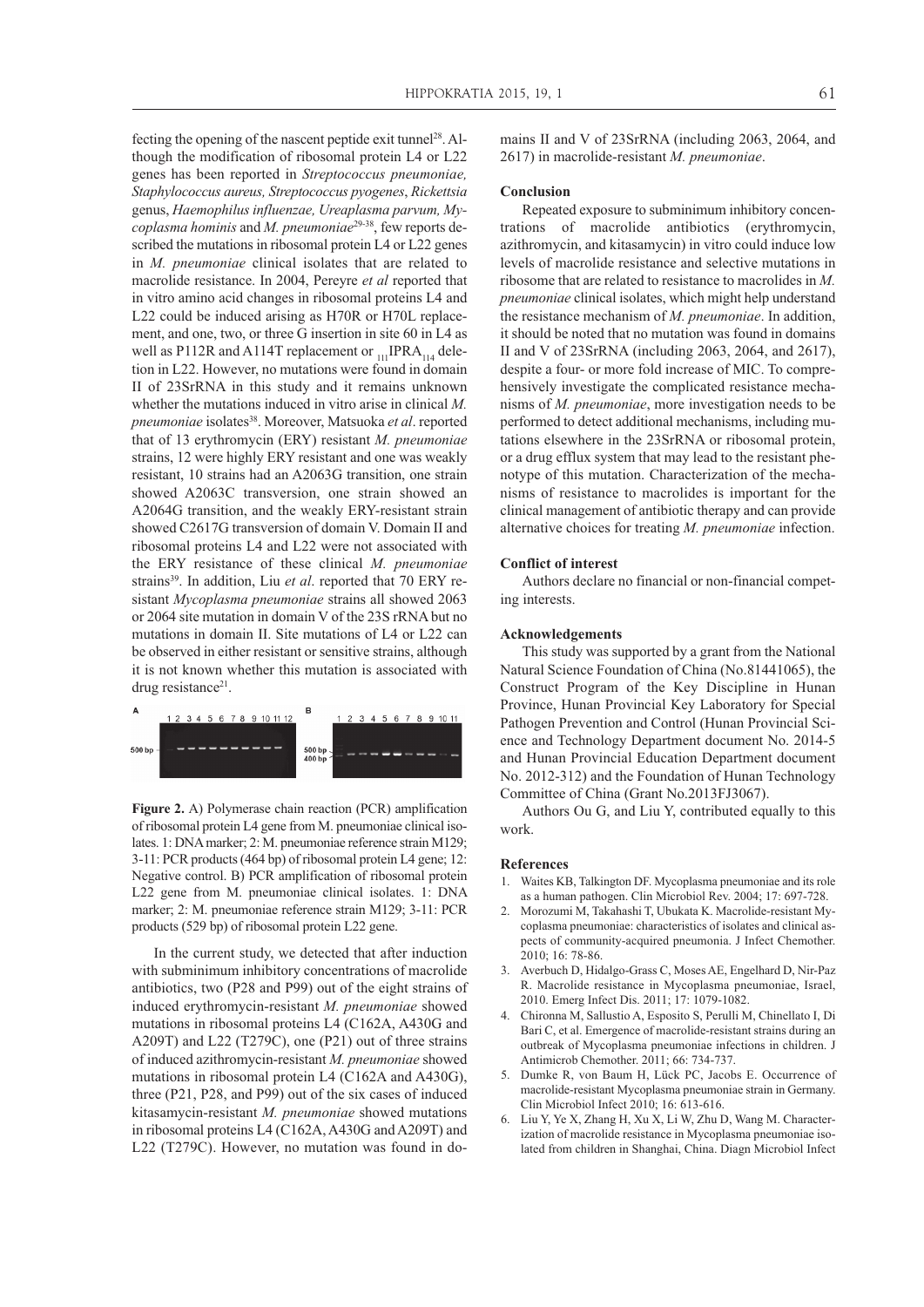fecting the opening of the nascent peptide exit tunnel<sup>28</sup>. Although the modification of ribosomal protein L4 or L22 genes has been reported in *Streptococcus pneumoniae, Staphylococcus aureus, Streptococcus pyogenes*, *Rickettsia* genus, *Haemophilus influenzae, Ureaplasma parvum, Mycoplasma hominis* and *M. pneumoniae*29-38, few reports described the mutations in ribosomal protein L4 or L22 genes in *M. pneumoniae* clinical isolates that are related to macrolide resistance. In 2004, Pereyre *et al* reported that in vitro amino acid changes in ribosomal proteins L4 and L22 could be induced arising as H70R or H70L replacement, and one, two, or three G insertion in site 60 in L4 as well as P112R and A114T replacement or  $_{11}$ IPRA $_{114}$  deletion in L22. However, no mutations were found in domain II of 23SrRNA in this study and it remains unknown whether the mutations induced in vitro arise in clinical *M. pneumoniae* isolates<sup>38</sup>. Moreover, Matsuoka *et al.* reported that of 13 erythromycin (ERY) resistant *M. pneumoniae* strains, 12 were highly ERY resistant and one was weakly resistant, 10 strains had an A2063G transition, one strain showed A2063C transversion, one strain showed an A2064G transition, and the weakly ERY-resistant strain showed C2617G transversion of domain V. Domain II and ribosomal proteins L4 and L22 were not associated with the ERY resistance of these clinical *M. pneumoniae* strains39. In addition, Liu *et al*. reported that 70 ERY resistant *Mycoplasma pneumoniae* strains all showed 2063 or 2064 site mutation in domain V of the 23S rRNA but no mutations in domain II. Site mutations of L4 or L22 can be observed in either resistant or sensitive strains, although it is not known whether this mutation is associated with drug resistance<sup>21</sup>.



**Figure 2.** A) Polymerase chain reaction (PCR) amplification of ribosomal protein L4 gene from M. pneumoniae clinical isolates. 1: DNA marker; 2: M. pneumoniae reference strain M129; 3-11: PCR products (464 bp) of ribosomal protein L4 gene; 12: Negative control. B) PCR amplification of ribosomal protein L22 gene from M. pneumoniae clinical isolates. 1: DNA marker; 2: M. pneumoniae reference strain M129; 3-11: PCR products (529 bp) of ribosomal protein L22 gene.

In the current study, we detected that after induction with subminimum inhibitory concentrations of macrolide antibiotics, two (P28 and P99) out of the eight strains of induced erythromycin-resistant *M. pneumoniae* showed mutations in ribosomal proteins L4 (C162A, A430G and A209T) and L22 (T279C), one (P21) out of three strains of induced azithromycin-resistant *M. pneumoniae* showed mutations in ribosomal protein L4 (C162A and A430G), three (P21, P28, and P99) out of the six cases of induced kitasamycin-resistant *M. pneumoniae* showed mutations in ribosomal proteins L4 (C162A, A430G and A209T) and L22 (T279C). However, no mutation was found in domains II and V of 23SrRNA (including 2063, 2064, and 2617) in macrolide-resistant *M. pneumoniae*.

#### **Conclusion**

Repeated exposure to subminimum inhibitory concentrations of macrolide antibiotics (erythromycin, azithromycin, and kitasamycin) in vitro could induce low levels of macrolide resistance and selective mutations in ribosome that are related to resistance to macrolides in *M. pneumoniae* clinical isolates, which might help understand the resistance mechanism of *M. pneumoniae*. In addition, it should be noted that no mutation was found in domains II and V of 23SrRNA (including 2063, 2064, and 2617), despite a four- or more fold increase of MIC. To comprehensively investigate the complicated resistance mechanisms of *M. pneumoniae*, more investigation needs to be performed to detect additional mechanisms, including mutations elsewhere in the 23SrRNA or ribosomal protein, or a drug efflux system that may lead to the resistant phenotype of this mutation. Characterization of the mechanisms of resistance to macrolides is important for the clinical management of antibiotic therapy and can provide alternative choices for treating *M. pneumoniae* infection.

#### **Conflict of interest**

Authors declare no financial or non-financial competing interests.

#### **Acknowledgements**

This study was supported by a grant from the National Natural Science Foundation of China (No.81441065), the Construct Program of the Key Discipline in Hunan Province, Hunan Provincial Key Laboratory for Special Pathogen Prevention and Control (Hunan Provincial Science and Technology Department document No. 2014-5 and Hunan Provincial Education Department document No. 2012-312) and the Foundation of Hunan Technology Committee of China (Grant No.2013FJ3067).

Authors Ou G, and Liu Y, contributed equally to this work.

#### **References**

- 1. Waites KB, Talkington DF. Mycoplasma pneumoniae and its role as a human pathogen. Clin Microbiol Rev. 2004; 17: 697-728.
- 2. Morozumi M, Takahashi T, Ubukata K. Macrolide-resistant Mycoplasma pneumoniae: characteristics of isolates and clinical aspects of community-acquired pneumonia. J Infect Chemother. 2010; 16: 78-86.
- 3. Averbuch D, Hidalgo-Grass C, Moses AE, Engelhard D, Nir-Paz R. Macrolide resistance in Mycoplasma pneumoniae, Israel, 2010. Emerg Infect Dis. 2011; 17: 1079-1082.
- 4. Chironna M, Sallustio A, Esposito S, Perulli M, Chinellato I, Di Bari C, et al. Emergence of macrolide-resistant strains during an outbreak of Mycoplasma pneumoniae infections in children. J Antimicrob Chemother. 2011; 66: 734-737.
- 5. Dumke R, von Baum H, Lück PC, Jacobs E. Occurrence of macrolide-resistant Mycoplasma pneumoniae strain in Germany. Clin Microbiol Infect 2010; 16: 613-616.
- 6. Liu Y, Ye X, Zhang H, Xu X, Li W, Zhu D, Wang M. Characterization of macrolide resistance in Mycoplasma pneumoniae isolated from children in Shanghai, China. Diagn Microbiol Infect